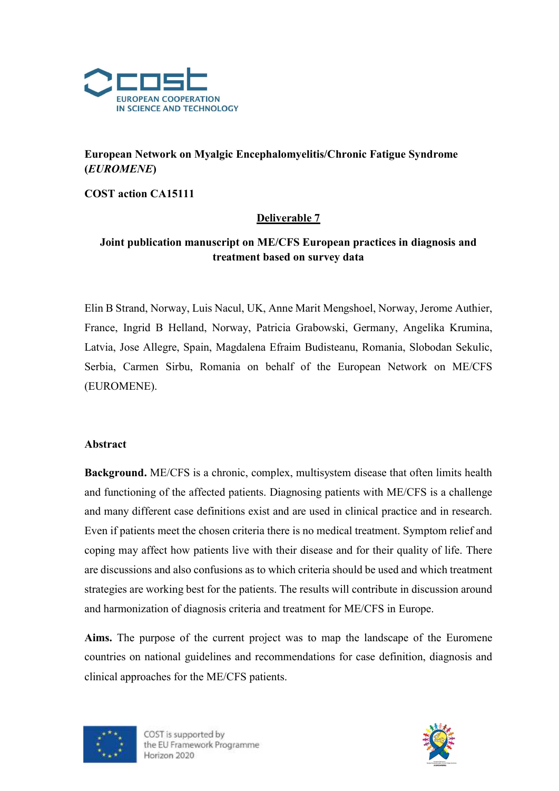

# European Network on Myalgic Encephalomyelitis/Chronic Fatigue Syndrome (EUROMENE)

COST action CA15111

## Deliverable 7

# Joint publication manuscript on ME/CFS European practices in diagnosis and treatment based on survey data

Elin B Strand, Norway, Luis Nacul, UK, Anne Marit Mengshoel, Norway, Jerome Authier, France, Ingrid B Helland, Norway, Patricia Grabowski, Germany, Angelika Krumina, Latvia, Jose Allegre, Spain, Magdalena Efraim Budisteanu, Romania, Slobodan Sekulic, Serbia, Carmen Sirbu, Romania on behalf of the European Network on ME/CFS (EUROMENE).

## Abstract

Background. ME/CFS is a chronic, complex, multisystem disease that often limits health and functioning of the affected patients. Diagnosing patients with ME/CFS is a challenge and many different case definitions exist and are used in clinical practice and in research. Even if patients meet the chosen criteria there is no medical treatment. Symptom relief and coping may affect how patients live with their disease and for their quality of life. There are discussions and also confusions as to which criteria should be used and which treatment strategies are working best for the patients. The results will contribute in discussion around and harmonization of diagnosis criteria and treatment for ME/CFS in Europe.

Aims. The purpose of the current project was to map the landscape of the Euromene countries on national guidelines and recommendations for case definition, diagnosis and clinical approaches for the ME/CFS patients.



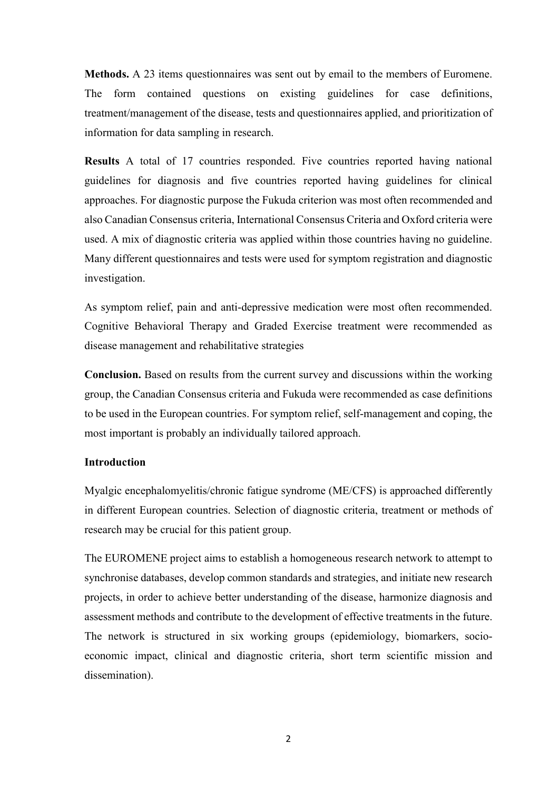Methods. A 23 items questionnaires was sent out by email to the members of Euromene. The form contained questions on existing guidelines for case definitions, treatment/management of the disease, tests and questionnaires applied, and prioritization of information for data sampling in research.

Results A total of 17 countries responded. Five countries reported having national guidelines for diagnosis and five countries reported having guidelines for clinical approaches. For diagnostic purpose the Fukuda criterion was most often recommended and also Canadian Consensus criteria, International Consensus Criteria and Oxford criteria were used. A mix of diagnostic criteria was applied within those countries having no guideline. Many different questionnaires and tests were used for symptom registration and diagnostic investigation.

As symptom relief, pain and anti-depressive medication were most often recommended. Cognitive Behavioral Therapy and Graded Exercise treatment were recommended as disease management and rehabilitative strategies

Conclusion. Based on results from the current survey and discussions within the working group, the Canadian Consensus criteria and Fukuda were recommended as case definitions to be used in the European countries. For symptom relief, self-management and coping, the most important is probably an individually tailored approach.

#### **Introduction**

Myalgic encephalomyelitis/chronic fatigue syndrome (ME/CFS) is approached differently in different European countries. Selection of diagnostic criteria, treatment or methods of research may be crucial for this patient group.

The EUROMENE project aims to establish a homogeneous research network to attempt to synchronise databases, develop common standards and strategies, and initiate new research projects, in order to achieve better understanding of the disease, harmonize diagnosis and assessment methods and contribute to the development of effective treatments in the future. The network is structured in six working groups (epidemiology, biomarkers, socioeconomic impact, clinical and diagnostic criteria, short term scientific mission and dissemination).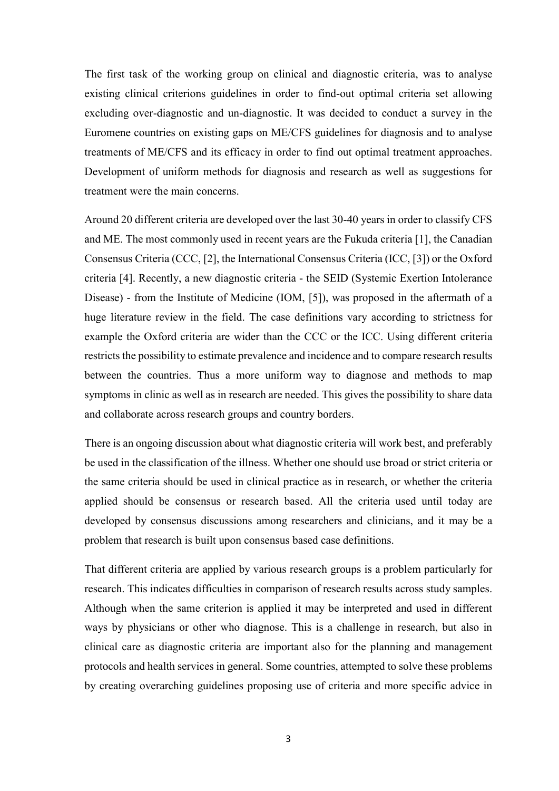The first task of the working group on clinical and diagnostic criteria, was to analyse existing clinical criterions guidelines in order to find-out optimal criteria set allowing excluding over-diagnostic and un-diagnostic. It was decided to conduct a survey in the Euromene countries on existing gaps on ME/CFS guidelines for diagnosis and to analyse treatments of ME/CFS and its efficacy in order to find out optimal treatment approaches. Development of uniform methods for diagnosis and research as well as suggestions for treatment were the main concerns.

Around 20 different criteria are developed over the last 30-40 years in order to classify CFS and ME. The most commonly used in recent years are the Fukuda criteria [1], the Canadian Consensus Criteria (CCC, [2], the International Consensus Criteria (ICC, [3]) or the Oxford criteria [4]. Recently, a new diagnostic criteria - the SEID (Systemic Exertion Intolerance Disease) - from the Institute of Medicine (IOM, [5]), was proposed in the aftermath of a huge literature review in the field. The case definitions vary according to strictness for example the Oxford criteria are wider than the CCC or the ICC. Using different criteria restricts the possibility to estimate prevalence and incidence and to compare research results between the countries. Thus a more uniform way to diagnose and methods to map symptoms in clinic as well as in research are needed. This gives the possibility to share data and collaborate across research groups and country borders.

There is an ongoing discussion about what diagnostic criteria will work best, and preferably be used in the classification of the illness. Whether one should use broad or strict criteria or the same criteria should be used in clinical practice as in research, or whether the criteria applied should be consensus or research based. All the criteria used until today are developed by consensus discussions among researchers and clinicians, and it may be a problem that research is built upon consensus based case definitions.

That different criteria are applied by various research groups is a problem particularly for research. This indicates difficulties in comparison of research results across study samples. Although when the same criterion is applied it may be interpreted and used in different ways by physicians or other who diagnose. This is a challenge in research, but also in clinical care as diagnostic criteria are important also for the planning and management protocols and health services in general. Some countries, attempted to solve these problems by creating overarching guidelines proposing use of criteria and more specific advice in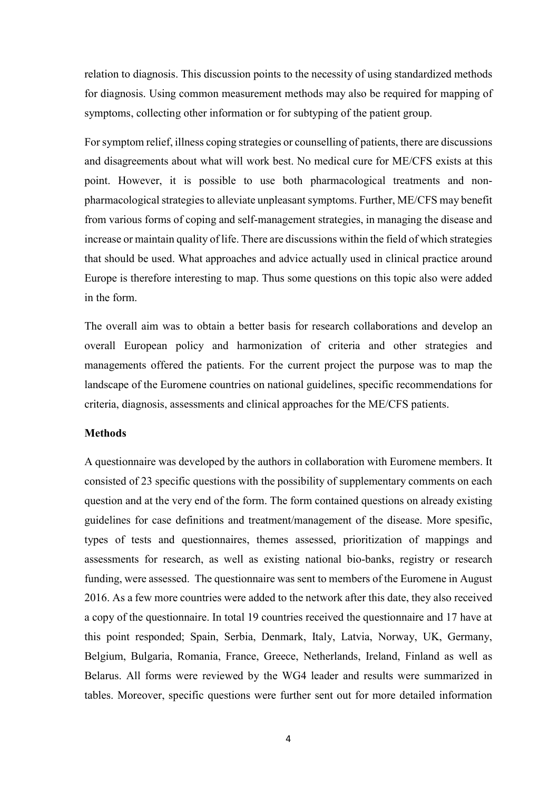relation to diagnosis. This discussion points to the necessity of using standardized methods for diagnosis. Using common measurement methods may also be required for mapping of symptoms, collecting other information or for subtyping of the patient group.

For symptom relief, illness coping strategies or counselling of patients, there are discussions and disagreements about what will work best. No medical cure for ME/CFS exists at this point. However, it is possible to use both pharmacological treatments and nonpharmacological strategies to alleviate unpleasant symptoms. Further, ME/CFS may benefit from various forms of coping and self-management strategies, in managing the disease and increase or maintain quality of life. There are discussions within the field of which strategies that should be used. What approaches and advice actually used in clinical practice around Europe is therefore interesting to map. Thus some questions on this topic also were added in the form.

The overall aim was to obtain a better basis for research collaborations and develop an overall European policy and harmonization of criteria and other strategies and managements offered the patients. For the current project the purpose was to map the landscape of the Euromene countries on national guidelines, specific recommendations for criteria, diagnosis, assessments and clinical approaches for the ME/CFS patients.

#### **Methods**

A questionnaire was developed by the authors in collaboration with Euromene members. It consisted of 23 specific questions with the possibility of supplementary comments on each question and at the very end of the form. The form contained questions on already existing guidelines for case definitions and treatment/management of the disease. More spesific, types of tests and questionnaires, themes assessed, prioritization of mappings and assessments for research, as well as existing national bio-banks, registry or research funding, were assessed. The questionnaire was sent to members of the Euromene in August 2016. As a few more countries were added to the network after this date, they also received a copy of the questionnaire. In total 19 countries received the questionnaire and 17 have at this point responded; Spain, Serbia, Denmark, Italy, Latvia, Norway, UK, Germany, Belgium, Bulgaria, Romania, France, Greece, Netherlands, Ireland, Finland as well as Belarus. All forms were reviewed by the WG4 leader and results were summarized in tables. Moreover, specific questions were further sent out for more detailed information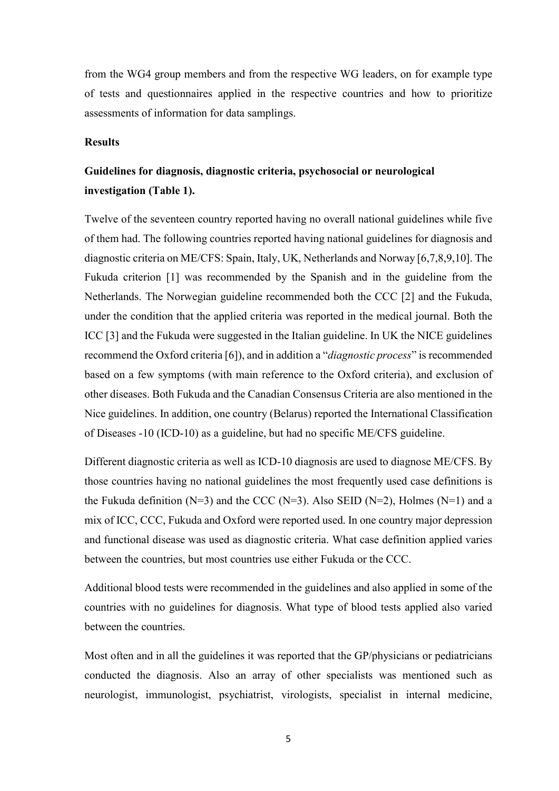from the WG4 group members and from the respective WG leaders, on for example type of tests and questionnaires applied in the respective countries and how to prioritize assessments of information for data samplings.

## **Results**

# Guidelines for diagnosis, diagnostic criteria, psychosocial or neurological investigation (Table 1).

Twelve of the seventeen country reported having no overall national guidelines while five of them had. The following countries reported having national guidelines for diagnosis and diagnostic criteria on ME/CFS: Spain, Italy, UK, Netherlands and Norway [6,7,8,9,10]. The Fukuda criterion [1] was recommended by the Spanish and in the guideline from the Netherlands. The Norwegian guideline recommended both the CCC [2] and the Fukuda, under the condition that the applied criteria was reported in the medical journal. Both the ICC [3] and the Fukuda were suggested in the Italian guideline. In UK the NICE guidelines recommend the Oxford criteria [6]), and in addition a "diagnostic process" is recommended based on a few symptoms (with main reference to the Oxford criteria), and exclusion of other diseases. Both Fukuda and the Canadian Consensus Criteria are also mentioned in the Nice guidelines. In addition, one country (Belarus) reported the International Classification of Diseases -10 (ICD-10) as a guideline, but had no specific ME/CFS guideline.

Different diagnostic criteria as well as ICD-10 diagnosis are used to diagnose ME/CFS. By those countries having no national guidelines the most frequently used case definitions is the Fukuda definition (N=3) and the CCC (N=3). Also SEID (N=2), Holmes (N=1) and a mix of ICC, CCC, Fukuda and Oxford were reported used. In one country major depression and functional disease was used as diagnostic criteria. What case definition applied varies between the countries, but most countries use either Fukuda or the CCC.

Additional blood tests were recommended in the guidelines and also applied in some of the countries with no guidelines for diagnosis. What type of blood tests applied also varied between the countries.

Most often and in all the guidelines it was reported that the GP/physicians or pediatricians conducted the diagnosis. Also an array of other specialists was mentioned such as neurologist, immunologist, psychiatrist, virologists, specialist in internal medicine,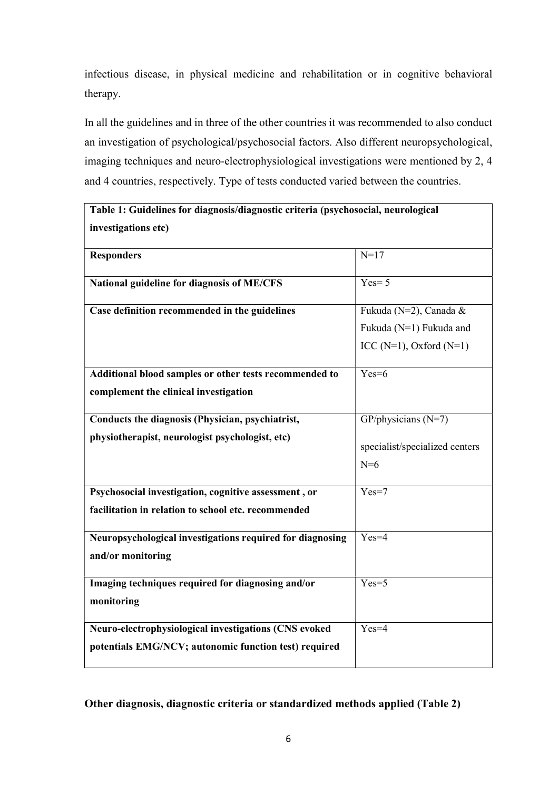infectious disease, in physical medicine and rehabilitation or in cognitive behavioral therapy.

In all the guidelines and in three of the other countries it was recommended to also conduct an investigation of psychological/psychosocial factors. Also different neuropsychological, imaging techniques and neuro-electrophysiological investigations were mentioned by 2, 4 and 4 countries, respectively. Type of tests conducted varied between the countries.

| Table 1: Guidelines for diagnosis/diagnostic criteria (psychosocial, neurological |                                |  |
|-----------------------------------------------------------------------------------|--------------------------------|--|
| investigations etc)                                                               |                                |  |
|                                                                                   |                                |  |
| <b>Responders</b>                                                                 | $N = 17$                       |  |
| National guideline for diagnosis of ME/CFS                                        | $Yes = 5$                      |  |
|                                                                                   |                                |  |
| Case definition recommended in the guidelines                                     | Fukuda (N=2), Canada &         |  |
|                                                                                   | Fukuda (N=1) Fukuda and        |  |
|                                                                                   | ICC $(N=1)$ , Oxford $(N=1)$   |  |
| Additional blood samples or other tests recommended to                            | $Yes=6$                        |  |
| complement the clinical investigation                                             |                                |  |
|                                                                                   |                                |  |
| Conducts the diagnosis (Physician, psychiatrist,                                  | GP/physicians $(N=7)$          |  |
| physiotherapist, neurologist psychologist, etc)                                   |                                |  |
|                                                                                   | specialist/specialized centers |  |
|                                                                                   | $N=6$                          |  |
| Psychosocial investigation, cognitive assessment, or                              | $Yes=7$                        |  |
| facilitation in relation to school etc. recommended                               |                                |  |
|                                                                                   |                                |  |
| Neuropsychological investigations required for diagnosing                         | $Yes=4$                        |  |
| and/or monitoring                                                                 |                                |  |
| Imaging techniques required for diagnosing and/or                                 | $Yes=5$                        |  |
| monitoring                                                                        |                                |  |
|                                                                                   |                                |  |
| Neuro-electrophysiological investigations (CNS evoked                             | $Yes=4$                        |  |
| potentials EMG/NCV; autonomic function test) required                             |                                |  |
|                                                                                   |                                |  |

Other diagnosis, diagnostic criteria or standardized methods applied (Table 2)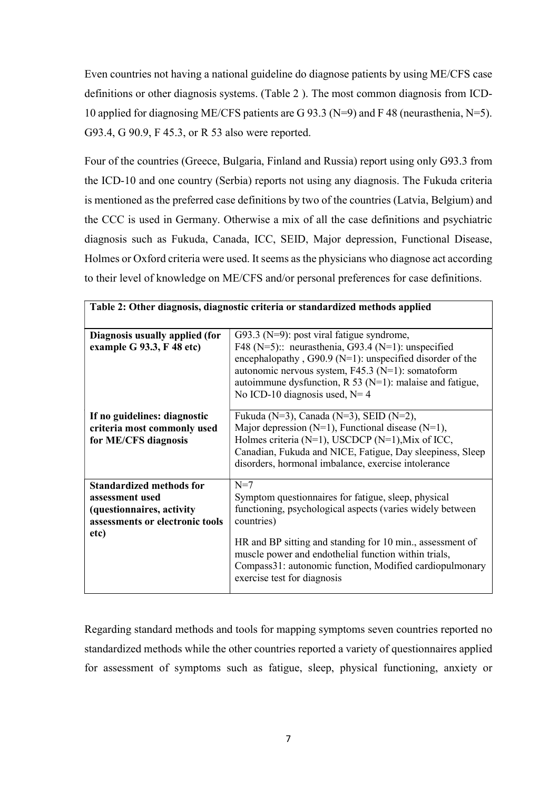Even countries not having a national guideline do diagnose patients by using ME/CFS case definitions or other diagnosis systems. (Table 2 ). The most common diagnosis from ICD-10 applied for diagnosing ME/CFS patients are G 93.3 (N=9) and F 48 (neurasthenia, N=5). G93.4, G 90.9, F 45.3, or R 53 also were reported.

Four of the countries (Greece, Bulgaria, Finland and Russia) report using only G93.3 from the ICD-10 and one country (Serbia) reports not using any diagnosis. The Fukuda criteria is mentioned as the preferred case definitions by two of the countries (Latvia, Belgium) and the CCC is used in Germany. Otherwise a mix of all the case definitions and psychiatric diagnosis such as Fukuda, Canada, ICC, SEID, Major depression, Functional Disease, Holmes or Oxford criteria were used. It seems as the physicians who diagnose act according to their level of knowledge on ME/CFS and/or personal preferences for case definitions.

| Table 2: Other diagnosis, diagnostic criteria or standardized methods applied                                              |                                                                                                                                                                                                                                                                                                                                                        |  |
|----------------------------------------------------------------------------------------------------------------------------|--------------------------------------------------------------------------------------------------------------------------------------------------------------------------------------------------------------------------------------------------------------------------------------------------------------------------------------------------------|--|
| Diagnosis usually applied (for<br>example G 93.3, F 48 etc)                                                                | G93.3 (N=9): post viral fatigue syndrome,<br>F48 (N=5):: neurasthenia, G93.4 (N=1): unspecified<br>encephalopathy, $G90.9$ (N=1): unspecified disorder of the<br>autonomic nervous system, $F45.3$ (N=1): somatoform<br>autoimmune dysfunction, R 53 ( $N=1$ ): malaise and fatigue,<br>No ICD-10 diagnosis used, $N=4$                                |  |
| If no guidelines: diagnostic<br>criteria most commonly used<br>for ME/CFS diagnosis                                        | Fukuda (N=3), Canada (N=3), SEID (N=2),<br>Major depression $(N=1)$ , Functional disease $(N=1)$ ,<br>Holmes criteria (N=1), USCDCP (N=1), Mix of ICC,<br>Canadian, Fukuda and NICE, Fatigue, Day sleepiness, Sleep<br>disorders, hormonal imbalance, exercise intolerance                                                                             |  |
| <b>Standardized methods for</b><br>assessment used<br>(questionnaires, activity<br>assessments or electronic tools<br>etc) | $N=7$<br>Symptom questionnaires for fatigue, sleep, physical<br>functioning, psychological aspects (varies widely between<br>countries)<br>HR and BP sitting and standing for 10 min., assessment of<br>muscle power and endothelial function within trials,<br>Compass31: autonomic function, Modified cardiopulmonary<br>exercise test for diagnosis |  |

Regarding standard methods and tools for mapping symptoms seven countries reported no standardized methods while the other countries reported a variety of questionnaires applied for assessment of symptoms such as fatigue, sleep, physical functioning, anxiety or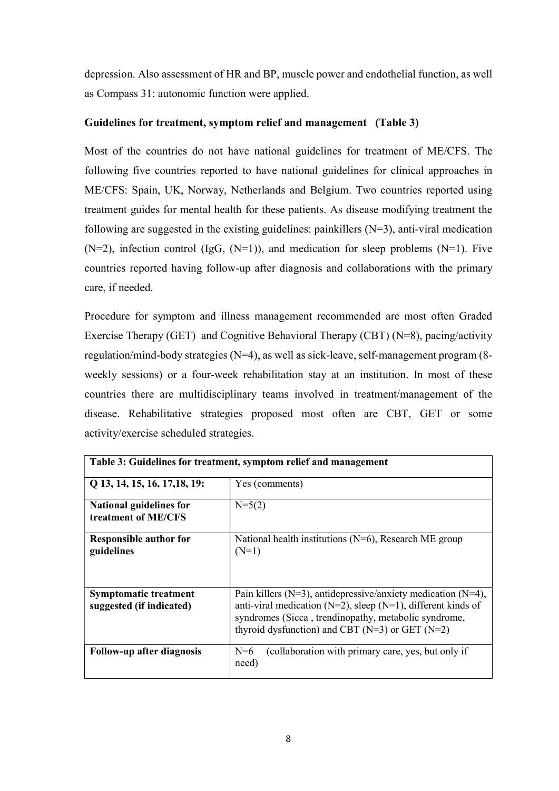depression. Also assessment of HR and BP, muscle power and endothelial function, as well as Compass 31: autonomic function were applied.

## Guidelines for treatment, symptom relief and management (Table 3)

Most of the countries do not have national guidelines for treatment of ME/CFS. The following five countries reported to have national guidelines for clinical approaches in ME/CFS: Spain, UK, Norway, Netherlands and Belgium. Two countries reported using treatment guides for mental health for these patients. As disease modifying treatment the following are suggested in the existing guidelines: painkillers  $(N=3)$ , anti-viral medication  $(N=2)$ , infection control (IgG,  $(N=1)$ ), and medication for sleep problems  $(N=1)$ . Five countries reported having follow-up after diagnosis and collaborations with the primary care, if needed.

Procedure for symptom and illness management recommended are most often Graded Exercise Therapy (GET) and Cognitive Behavioral Therapy (CBT) (N=8), pacing/activity regulation/mind-body strategies (N=4), as well as sick-leave, self-management program (8 weekly sessions) or a four-week rehabilitation stay at an institution. In most of these countries there are multidisciplinary teams involved in treatment/management of the disease. Rehabilitative strategies proposed most often are CBT, GET or some activity/exercise scheduled strategies.

| Table 3: Guidelines for treatment, symptom relief and management |                                                                                                                                                                                                                                                         |
|------------------------------------------------------------------|---------------------------------------------------------------------------------------------------------------------------------------------------------------------------------------------------------------------------------------------------------|
| Q 13, 14, 15, 16, 17, 18, 19:                                    | Yes (comments)                                                                                                                                                                                                                                          |
| <b>National guidelines for</b><br>treatment of ME/CFS            | $N=5(2)$                                                                                                                                                                                                                                                |
| <b>Responsible author for</b><br>guidelines                      | National health institutions ( $N=6$ ), Research ME group<br>$(N=1)$                                                                                                                                                                                    |
| <b>Symptomatic treatment</b><br>suggested (if indicated)         | Pain killers ( $N=3$ ), antidepressive/anxiety medication ( $N=4$ ),<br>anti-viral medication ( $N=2$ ), sleep ( $N=1$ ), different kinds of<br>syndromes (Sicca, trendinopathy, metabolic syndrome,<br>thyroid dysfunction) and CBT (N=3) or GET (N=2) |
| Follow-up after diagnosis                                        | (collaboration with primary care, yes, but only if<br>$N=6$<br>need)                                                                                                                                                                                    |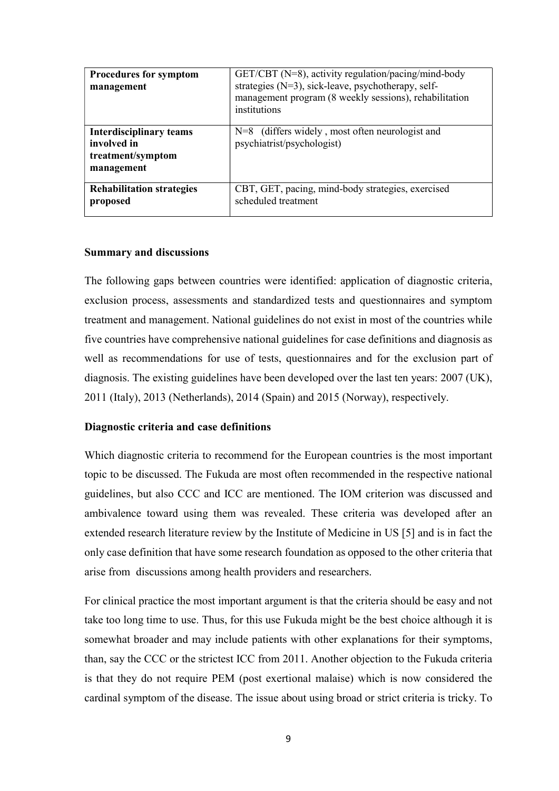| <b>Procedures for symptom</b><br>management                                      | GET/CBT (N=8), activity regulation/pacing/mind-body<br>strategies $(N=3)$ , sick-leave, psychotherapy, self-<br>management program (8 weekly sessions), rehabilitation<br>institutions |
|----------------------------------------------------------------------------------|----------------------------------------------------------------------------------------------------------------------------------------------------------------------------------------|
| <b>Interdisciplinary teams</b><br>involved in<br>treatment/symptom<br>management | N=8 (differs widely, most often neurologist and<br>psychiatrist/psychologist)                                                                                                          |
| <b>Rehabilitation strategies</b><br>proposed                                     | CBT, GET, pacing, mind-body strategies, exercised<br>scheduled treatment                                                                                                               |

#### Summary and discussions

The following gaps between countries were identified: application of diagnostic criteria, exclusion process, assessments and standardized tests and questionnaires and symptom treatment and management. National guidelines do not exist in most of the countries while five countries have comprehensive national guidelines for case definitions and diagnosis as well as recommendations for use of tests, questionnaires and for the exclusion part of diagnosis. The existing guidelines have been developed over the last ten years: 2007 (UK), 2011 (Italy), 2013 (Netherlands), 2014 (Spain) and 2015 (Norway), respectively.

## Diagnostic criteria and case definitions

Which diagnostic criteria to recommend for the European countries is the most important topic to be discussed. The Fukuda are most often recommended in the respective national guidelines, but also CCC and ICC are mentioned. The IOM criterion was discussed and ambivalence toward using them was revealed. These criteria was developed after an extended research literature review by the Institute of Medicine in US [5] and is in fact the only case definition that have some research foundation as opposed to the other criteria that arise from discussions among health providers and researchers.

For clinical practice the most important argument is that the criteria should be easy and not take too long time to use. Thus, for this use Fukuda might be the best choice although it is somewhat broader and may include patients with other explanations for their symptoms, than, say the CCC or the strictest ICC from 2011. Another objection to the Fukuda criteria is that they do not require PEM (post exertional malaise) which is now considered the cardinal symptom of the disease. The issue about using broad or strict criteria is tricky. To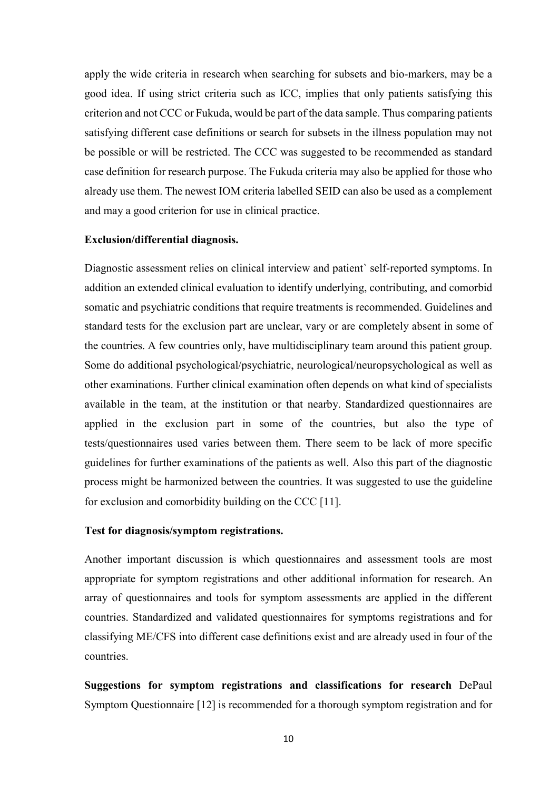apply the wide criteria in research when searching for subsets and bio-markers, may be a good idea. If using strict criteria such as ICC, implies that only patients satisfying this criterion and not CCC or Fukuda, would be part of the data sample. Thus comparing patients satisfying different case definitions or search for subsets in the illness population may not be possible or will be restricted. The CCC was suggested to be recommended as standard case definition for research purpose. The Fukuda criteria may also be applied for those who already use them. The newest IOM criteria labelled SEID can also be used as a complement and may a good criterion for use in clinical practice.

#### Exclusion/differential diagnosis.

Diagnostic assessment relies on clinical interview and patient` self-reported symptoms. In addition an extended clinical evaluation to identify underlying, contributing, and comorbid somatic and psychiatric conditions that require treatments is recommended. Guidelines and standard tests for the exclusion part are unclear, vary or are completely absent in some of the countries. A few countries only, have multidisciplinary team around this patient group. Some do additional psychological/psychiatric, neurological/neuropsychological as well as other examinations. Further clinical examination often depends on what kind of specialists available in the team, at the institution or that nearby. Standardized questionnaires are applied in the exclusion part in some of the countries, but also the type of tests/questionnaires used varies between them. There seem to be lack of more specific guidelines for further examinations of the patients as well. Also this part of the diagnostic process might be harmonized between the countries. It was suggested to use the guideline for exclusion and comorbidity building on the CCC [11].

#### Test for diagnosis/symptom registrations.

Another important discussion is which questionnaires and assessment tools are most appropriate for symptom registrations and other additional information for research. An array of questionnaires and tools for symptom assessments are applied in the different countries. Standardized and validated questionnaires for symptoms registrations and for classifying ME/CFS into different case definitions exist and are already used in four of the countries.

Suggestions for symptom registrations and classifications for research DePaul Symptom Questionnaire [12] is recommended for a thorough symptom registration and for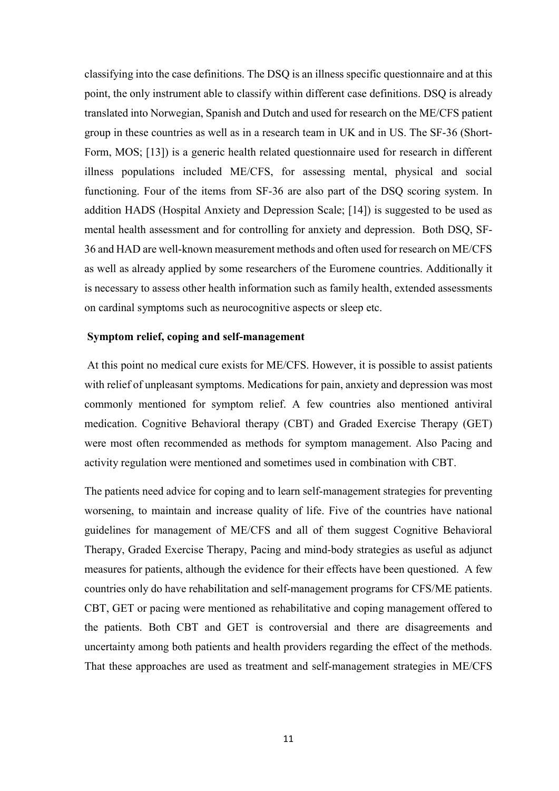classifying into the case definitions. The DSQ is an illness specific questionnaire and at this point, the only instrument able to classify within different case definitions. DSQ is already translated into Norwegian, Spanish and Dutch and used for research on the ME/CFS patient group in these countries as well as in a research team in UK and in US. The SF-36 (Short-Form, MOS; [13]) is a generic health related questionnaire used for research in different illness populations included ME/CFS, for assessing mental, physical and social functioning. Four of the items from SF-36 are also part of the DSQ scoring system. In addition HADS (Hospital Anxiety and Depression Scale; [14]) is suggested to be used as mental health assessment and for controlling for anxiety and depression. Both DSQ, SF-36 and HAD are well-known measurement methods and often used for research on ME/CFS as well as already applied by some researchers of the Euromene countries. Additionally it is necessary to assess other health information such as family health, extended assessments on cardinal symptoms such as neurocognitive aspects or sleep etc.

#### Symptom relief, coping and self-management

At this point no medical cure exists for ME/CFS. However, it is possible to assist patients with relief of unpleasant symptoms. Medications for pain, anxiety and depression was most commonly mentioned for symptom relief. A few countries also mentioned antiviral medication. Cognitive Behavioral therapy (CBT) and Graded Exercise Therapy (GET) were most often recommended as methods for symptom management. Also Pacing and activity regulation were mentioned and sometimes used in combination with CBT.

The patients need advice for coping and to learn self-management strategies for preventing worsening, to maintain and increase quality of life. Five of the countries have national guidelines for management of ME/CFS and all of them suggest Cognitive Behavioral Therapy, Graded Exercise Therapy, Pacing and mind-body strategies as useful as adjunct measures for patients, although the evidence for their effects have been questioned. A few countries only do have rehabilitation and self-management programs for CFS/ME patients. CBT, GET or pacing were mentioned as rehabilitative and coping management offered to the patients. Both CBT and GET is controversial and there are disagreements and uncertainty among both patients and health providers regarding the effect of the methods. That these approaches are used as treatment and self-management strategies in ME/CFS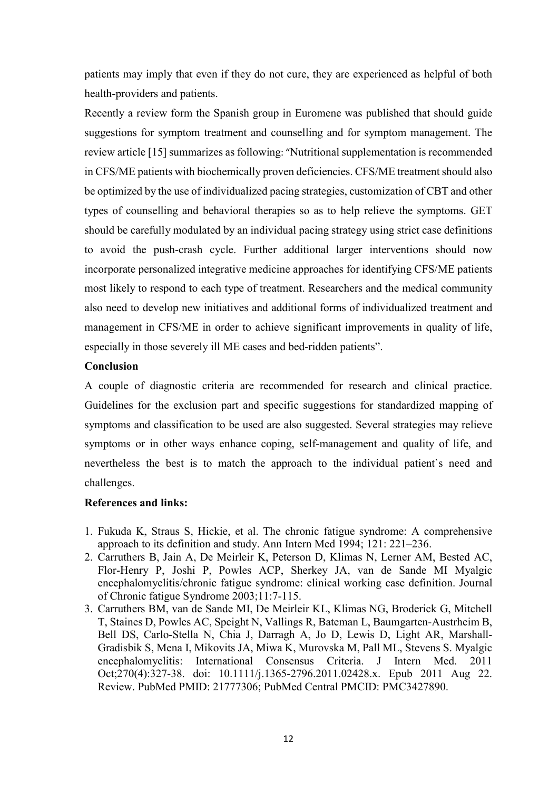patients may imply that even if they do not cure, they are experienced as helpful of both health-providers and patients.

Recently a review form the Spanish group in Euromene was published that should guide suggestions for symptom treatment and counselling and for symptom management. The review article [15] summarizes as following: "Nutritional supplementation is recommended in CFS/ME patients with biochemically proven deficiencies. CFS/ME treatment should also be optimized by the use of individualized pacing strategies, customization of CBT and other types of counselling and behavioral therapies so as to help relieve the symptoms. GET should be carefully modulated by an individual pacing strategy using strict case definitions to avoid the push-crash cycle. Further additional larger interventions should now incorporate personalized integrative medicine approaches for identifying CFS/ME patients most likely to respond to each type of treatment. Researchers and the medical community also need to develop new initiatives and additional forms of individualized treatment and management in CFS/ME in order to achieve significant improvements in quality of life, especially in those severely ill ME cases and bed-ridden patients".

### **Conclusion**

A couple of diagnostic criteria are recommended for research and clinical practice. Guidelines for the exclusion part and specific suggestions for standardized mapping of symptoms and classification to be used are also suggested. Several strategies may relieve symptoms or in other ways enhance coping, self-management and quality of life, and nevertheless the best is to match the approach to the individual patient`s need and challenges.

## References and links:

- 1. Fukuda K, Straus S, Hickie, et al. The chronic fatigue syndrome: A comprehensive approach to its definition and study. Ann Intern Med 1994; 121: 221–236.
- 2. Carruthers B, Jain A, De Meirleir K, Peterson D, Klimas N, Lerner AM, Bested AC, Flor-Henry P, Joshi P, Powles ACP, Sherkey JA, van de Sande MI Myalgic encephalomyelitis/chronic fatigue syndrome: clinical working case definition. Journal of Chronic fatigue Syndrome 2003;11:7-115.
- 3. Carruthers BM, van de Sande MI, De Meirleir KL, Klimas NG, Broderick G, Mitchell T, Staines D, Powles AC, Speight N, Vallings R, Bateman L, Baumgarten-Austrheim B, Bell DS, Carlo-Stella N, Chia J, Darragh A, Jo D, Lewis D, Light AR, Marshall-Gradisbik S, Mena I, Mikovits JA, Miwa K, Murovska M, Pall ML, Stevens S. Myalgic encephalomyelitis: International Consensus Criteria. J Intern Med. 2011 Oct;270(4):327-38. doi: 10.1111/j.1365-2796.2011.02428.x. Epub 2011 Aug 22. Review. PubMed PMID: 21777306; PubMed Central PMCID: PMC3427890.